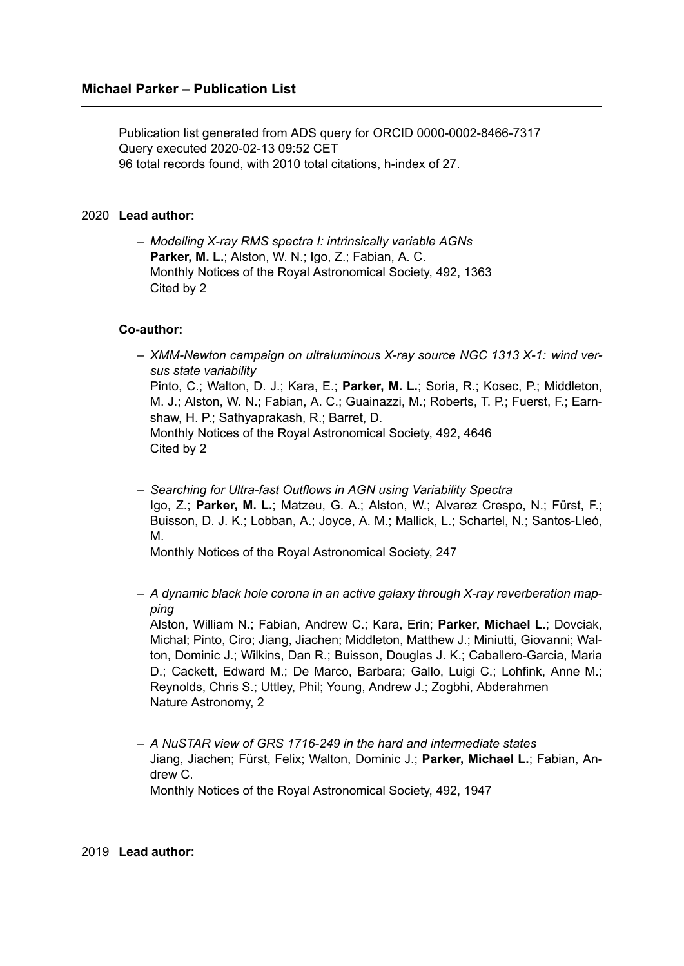Publication list generated from ADS query for ORCID 0000-0002-8466-7317 Query executed 2020-02-13 09:52 CET 96 total records found, with 2010 total citations, h-index of 27.

## 2020 **Lead author:**

– *Modelling X-ray RMS spectra I: intrinsically variable AGNs* **Parker, M. L.**; Alston, W. N.; Igo, Z.; Fabian, A. C. Monthly Notices of the Royal Astronomical Society, 492, 1363 Cited by 2

#### **Co-author:**

- *XMM-Newton campaign on ultraluminous X-ray source NGC 1313 X-1: wind versus state variability* Pinto, C.; Walton, D. J.; Kara, E.; **Parker, M. L.**; Soria, R.; Kosec, P.; Middleton, M. J.; Alston, W. N.; Fabian, A. C.; Guainazzi, M.; Roberts, T. P.; Fuerst, F.; Earnshaw, H. P.; Sathyaprakash, R.; Barret, D. Monthly Notices of the Royal Astronomical Society, 492, 4646 Cited by 2
- *Searching for Ultra-fast Outflows in AGN using Variability Spectra* Igo, Z.; **Parker, M. L.**; Matzeu, G. A.; Alston, W.; Alvarez Crespo, N.; Fürst, F.; Buisson, D. J. K.; Lobban, A.; Joyce, A. M.; Mallick, L.; Schartel, N.; Santos-Lleó, M.

Monthly Notices of the Royal Astronomical Society, 247

– *A dynamic black hole corona in an active galaxy through X-ray reverberation mapping*

Alston, William N.; Fabian, Andrew C.; Kara, Erin; **Parker, Michael L.**; Dovciak, Michal; Pinto, Ciro; Jiang, Jiachen; Middleton, Matthew J.; Miniutti, Giovanni; Walton, Dominic J.; Wilkins, Dan R.; Buisson, Douglas J. K.; Caballero-Garcia, Maria D.; Cackett, Edward M.; De Marco, Barbara; Gallo, Luigi C.; Lohfink, Anne M.; Reynolds, Chris S.; Uttley, Phil; Young, Andrew J.; Zogbhi, Abderahmen Nature Astronomy, 2

– *A NuSTAR view of GRS 1716-249 in the hard and intermediate states* Jiang, Jiachen; Fürst, Felix; Walton, Dominic J.; **Parker, Michael L.**; Fabian, Andrew C. Monthly Notices of the Royal Astronomical Society, 492, 1947

#### 2019 **Lead author:**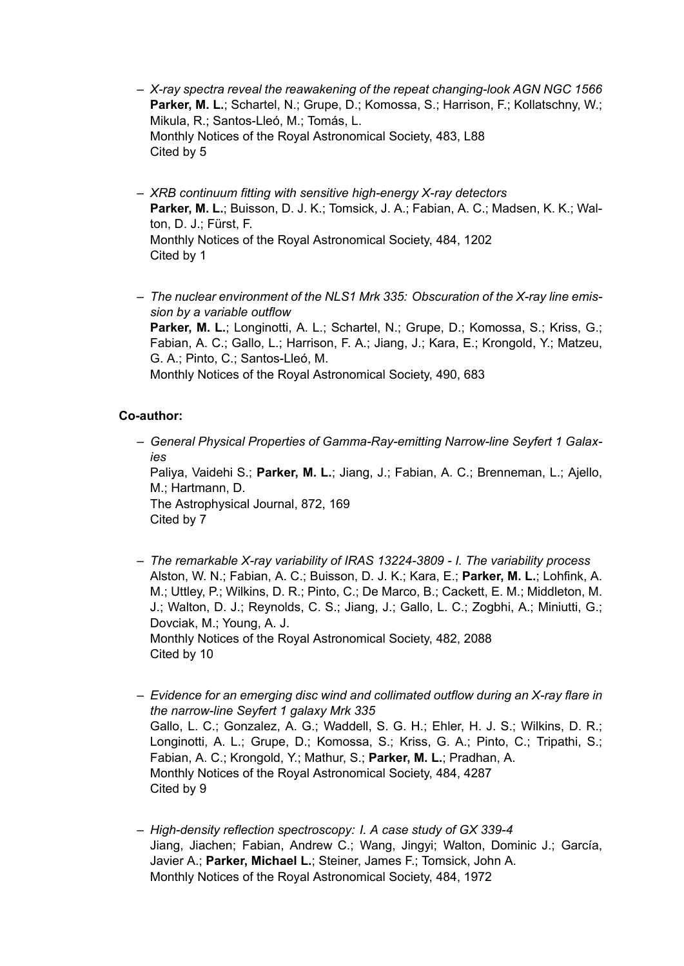- *X-ray spectra reveal the reawakening of the repeat changing-look AGN NGC 1566* Parker, M. L.; Schartel, N.; Grupe, D.; Komossa, S.; Harrison, F.; Kollatschny, W.; Mikula, R.; Santos-Lleó, M.; Tomás, L. Monthly Notices of the Royal Astronomical Society, 483, L88 Cited by 5
- *XRB continuum fitting with sensitive high-energy X-ray detectors* Parker, M. L.; Buisson, D. J. K.; Tomsick, J. A.; Fabian, A. C.; Madsen, K. K.; Walton, D. J.; Fürst, F. Monthly Notices of the Royal Astronomical Society, 484, 1202 Cited by 1
- *The nuclear environment of the NLS1 Mrk 335: Obscuration of the X-ray line emission by a variable outflow* Parker, M. L.; Longinotti, A. L.; Schartel, N.; Grupe, D.; Komossa, S.; Kriss, G.; Fabian, A. C.; Gallo, L.; Harrison, F. A.; Jiang, J.; Kara, E.; Krongold, Y.; Matzeu, G. A.; Pinto, C.; Santos-Lleó, M. Monthly Notices of the Royal Astronomical Society, 490, 683

# **Co-author:**

– *General Physical Properties of Gamma-Ray-emitting Narrow-line Seyfert 1 Galaxies* Paliya, Vaidehi S.; **Parker, M. L.**; Jiang, J.; Fabian, A. C.; Brenneman, L.; Ajello,

M.; Hartmann, D. The Astrophysical Journal, 872, 169 Cited by 7

- *The remarkable X-ray variability of IRAS 13224-3809 I. The variability process* Alston, W. N.; Fabian, A. C.; Buisson, D. J. K.; Kara, E.; **Parker, M. L.**; Lohfink, A. M.; Uttley, P.; Wilkins, D. R.; Pinto, C.; De Marco, B.; Cackett, E. M.; Middleton, M. J.; Walton, D. J.; Reynolds, C. S.; Jiang, J.; Gallo, L. C.; Zogbhi, A.; Miniutti, G.; Dovciak, M.; Young, A. J. Monthly Notices of the Royal Astronomical Society, 482, 2088 Cited by 10
- *Evidence for an emerging disc wind and collimated outflow during an X-ray flare in the narrow-line Seyfert 1 galaxy Mrk 335* Gallo, L. C.; Gonzalez, A. G.; Waddell, S. G. H.; Ehler, H. J. S.; Wilkins, D. R.; Longinotti, A. L.; Grupe, D.; Komossa, S.; Kriss, G. A.; Pinto, C.; Tripathi, S.; Fabian, A. C.; Krongold, Y.; Mathur, S.; **Parker, M. L.**; Pradhan, A. Monthly Notices of the Royal Astronomical Society, 484, 4287 Cited by 9
- *High-density reflection spectroscopy: I. A case study of GX 339-4* Jiang, Jiachen; Fabian, Andrew C.; Wang, Jingyi; Walton, Dominic J.; García, Javier A.; **Parker, Michael L.**; Steiner, James F.; Tomsick, John A. Monthly Notices of the Royal Astronomical Society, 484, 1972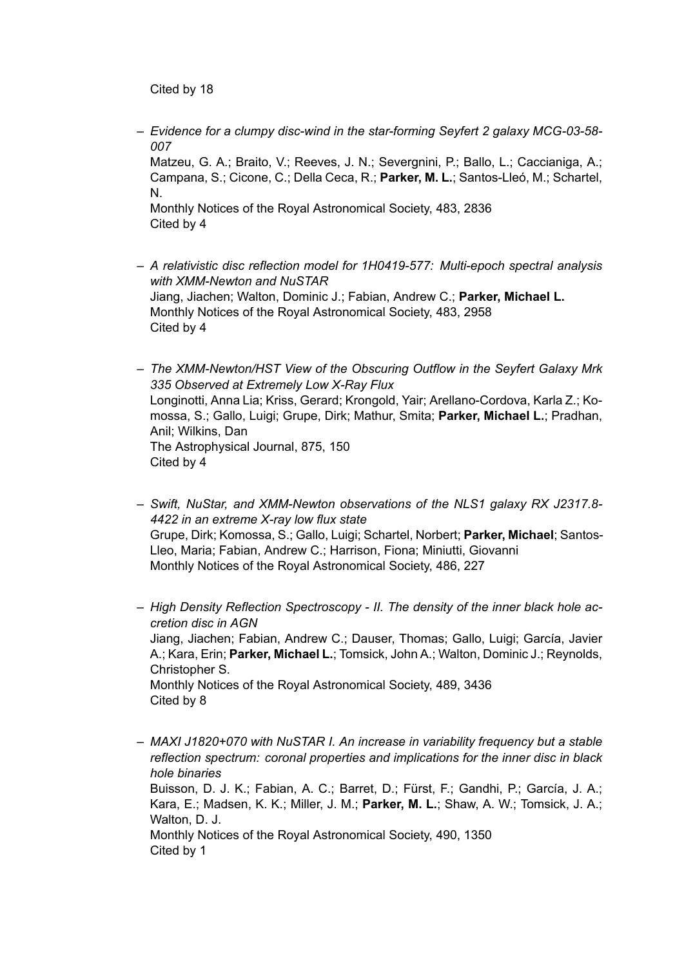Cited by 18

– *Evidence for a clumpy disc-wind in the star-forming Seyfert 2 galaxy MCG-03-58- 007* Matzeu, G. A.; Braito, V.; Reeves, J. N.; Severgnini, P.; Ballo, L.; Caccianiga, A.; Campana, S.; Cicone, C.; Della Ceca, R.; **Parker, M. L.**; Santos-Lleó, M.; Schartel, N.

Monthly Notices of the Royal Astronomical Society, 483, 2836 Cited by 4

- *A relativistic disc reflection model for 1H0419-577: Multi-epoch spectral analysis with XMM-Newton and NuSTAR* Jiang, Jiachen; Walton, Dominic J.; Fabian, Andrew C.; **Parker, Michael L.** Monthly Notices of the Royal Astronomical Society, 483, 2958 Cited by 4
- *The XMM-Newton/HST View of the Obscuring Outflow in the Seyfert Galaxy Mrk 335 Observed at Extremely Low X-Ray Flux* Longinotti, Anna Lia; Kriss, Gerard; Krongold, Yair; Arellano-Cordova, Karla Z.; Komossa, S.; Gallo, Luigi; Grupe, Dirk; Mathur, Smita; **Parker, Michael L.**; Pradhan, Anil; Wilkins, Dan The Astrophysical Journal, 875, 150 Cited by 4
- *Swift, NuStar, and XMM-Newton observations of the NLS1 galaxy RX J2317.8- 4422 in an extreme X-ray low flux state* Grupe, Dirk; Komossa, S.; Gallo, Luigi; Schartel, Norbert; **Parker, Michael**; Santos-Lleo, Maria; Fabian, Andrew C.; Harrison, Fiona; Miniutti, Giovanni Monthly Notices of the Royal Astronomical Society, 486, 227

– *High Density Reflection Spectroscopy - II. The density of the inner black hole accretion disc in AGN* Jiang, Jiachen; Fabian, Andrew C.; Dauser, Thomas; Gallo, Luigi; García, Javier A.; Kara, Erin; **Parker, Michael L.**; Tomsick, John A.; Walton, Dominic J.; Reynolds, Christopher S. Monthly Notices of the Royal Astronomical Society, 489, 3436 Cited by 8

– *MAXI J1820+070 with NuSTAR I. An increase in variability frequency but a stable reflection spectrum: coronal properties and implications for the inner disc in black hole binaries* Buisson, D. J. K.; Fabian, A. C.; Barret, D.; Fürst, F.; Gandhi, P.; García, J. A.; Kara, E.; Madsen, K. K.; Miller, J. M.; **Parker, M. L.**; Shaw, A. W.; Tomsick, J. A.; Walton, D. J. Monthly Notices of the Royal Astronomical Society, 490, 1350 Cited by 1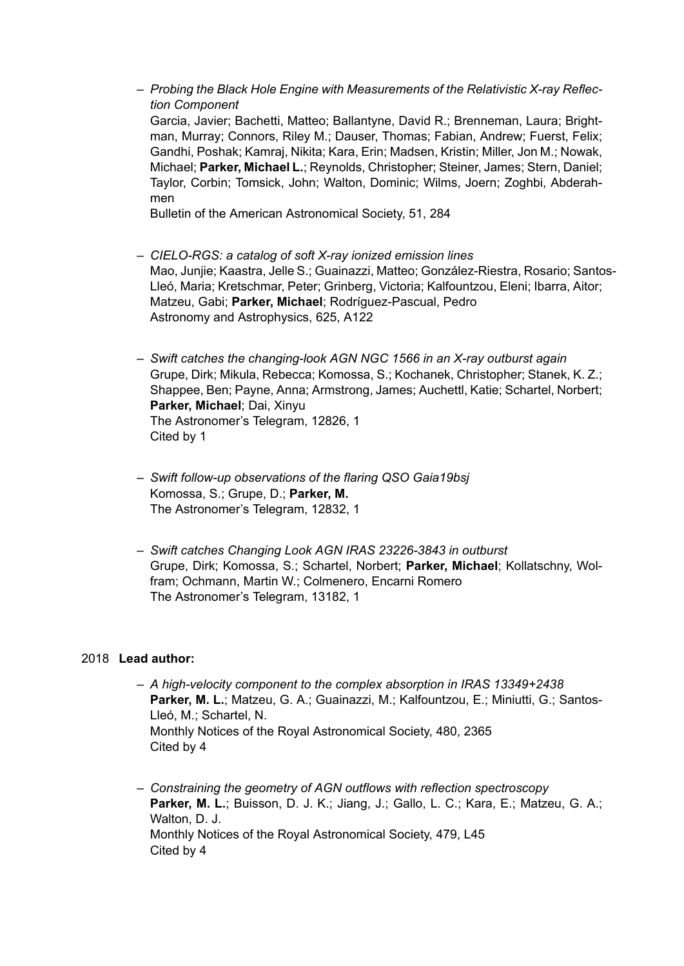– *Probing the Black Hole Engine with Measurements of the Relativistic X-ray Reflection Component* Garcia, Javier; Bachetti, Matteo; Ballantyne, David R.; Brenneman, Laura; Brightman, Murray; Connors, Riley M.; Dauser, Thomas; Fabian, Andrew; Fuerst, Felix; Gandhi, Poshak; Kamraj, Nikita; Kara, Erin; Madsen, Kristin; Miller, Jon M.; Nowak, Michael; **Parker, Michael L.**; Reynolds, Christopher; Steiner, James; Stern, Daniel; Taylor, Corbin; Tomsick, John; Walton, Dominic; Wilms, Joern; Zoghbi, Abderahmen

Bulletin of the American Astronomical Society, 51, 284

- *CIELO-RGS: a catalog of soft X-ray ionized emission lines* Mao, Junjie; Kaastra, Jelle S.; Guainazzi, Matteo; González-Riestra, Rosario; Santos-Lleó, Maria; Kretschmar, Peter; Grinberg, Victoria; Kalfountzou, Eleni; Ibarra, Aitor; Matzeu, Gabi; **Parker, Michael**; Rodríguez-Pascual, Pedro Astronomy and Astrophysics, 625, A122
- *Swift catches the changing-look AGN NGC 1566 in an X-ray outburst again* Grupe, Dirk; Mikula, Rebecca; Komossa, S.; Kochanek, Christopher; Stanek, K. Z.; Shappee, Ben; Payne, Anna; Armstrong, James; Auchettl, Katie; Schartel, Norbert; **Parker, Michael**; Dai, Xinyu The Astronomer's Telegram, 12826, 1 Cited by 1
- *Swift follow-up observations of the flaring QSO Gaia19bsj* Komossa, S.; Grupe, D.; **Parker, M.** The Astronomer's Telegram, 12832, 1
- *Swift catches Changing Look AGN IRAS 23226-3843 in outburst* Grupe, Dirk; Komossa, S.; Schartel, Norbert; **Parker, Michael**; Kollatschny, Wolfram; Ochmann, Martin W.; Colmenero, Encarni Romero The Astronomer's Telegram, 13182, 1

## 2018 **Lead author:**

- *A high-velocity component to the complex absorption in IRAS 13349+2438* **Parker, M. L.**; Matzeu, G. A.; Guainazzi, M.; Kalfountzou, E.; Miniutti, G.; Santos-Lleó, M.; Schartel, N. Monthly Notices of the Royal Astronomical Society, 480, 2365 Cited by 4
- *Constraining the geometry of AGN outflows with reflection spectroscopy* **Parker, M. L.**; Buisson, D. J. K.; Jiang, J.; Gallo, L. C.; Kara, E.; Matzeu, G. A.; Walton, D. J. Monthly Notices of the Royal Astronomical Society, 479, L45 Cited by 4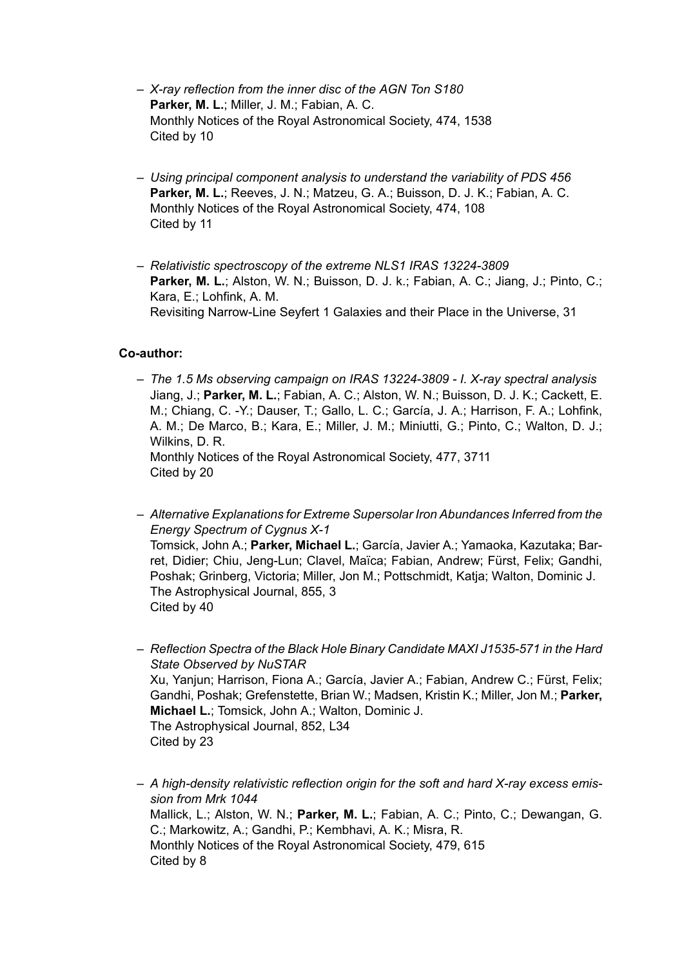- *X-ray reflection from the inner disc of the AGN Ton S180* **Parker, M. L.**; Miller, J. M.; Fabian, A. C. Monthly Notices of the Royal Astronomical Society, 474, 1538 Cited by 10
- *Using principal component analysis to understand the variability of PDS 456* **Parker, M. L.**; Reeves, J. N.; Matzeu, G. A.; Buisson, D. J. K.; Fabian, A. C. Monthly Notices of the Royal Astronomical Society, 474, 108 Cited by 11
- *Relativistic spectroscopy of the extreme NLS1 IRAS 13224-3809* Parker, M. L.; Alston, W. N.; Buisson, D. J. k.; Fabian, A. C.; Jiang, J.; Pinto, C.; Kara, E.; Lohfink, A. M. Revisiting Narrow-Line Seyfert 1 Galaxies and their Place in the Universe, 31

# **Co-author:**

- *The 1.5 Ms observing campaign on IRAS 13224-3809 I. X-ray spectral analysis* Jiang, J.; **Parker, M. L.**; Fabian, A. C.; Alston, W. N.; Buisson, D. J. K.; Cackett, E. M.; Chiang, C. -Y.; Dauser, T.; Gallo, L. C.; García, J. A.; Harrison, F. A.; Lohfink, A. M.; De Marco, B.; Kara, E.; Miller, J. M.; Miniutti, G.; Pinto, C.; Walton, D. J.; Wilkins, D. R. Monthly Notices of the Royal Astronomical Society, 477, 3711 Cited by 20
- *Alternative Explanations for Extreme Supersolar Iron Abundances Inferred from the Energy Spectrum of Cygnus X-1* Tomsick, John A.; **Parker, Michael L.**; García, Javier A.; Yamaoka, Kazutaka; Barret, Didier; Chiu, Jeng-Lun; Clavel, Maïca; Fabian, Andrew; Fürst, Felix; Gandhi, Poshak; Grinberg, Victoria; Miller, Jon M.; Pottschmidt, Katja; Walton, Dominic J. The Astrophysical Journal, 855, 3 Cited by 40
- *Reflection Spectra of the Black Hole Binary Candidate MAXI J1535-571 in the Hard State Observed by NuSTAR* Xu, Yanjun; Harrison, Fiona A.; García, Javier A.; Fabian, Andrew C.; Fürst, Felix; Gandhi, Poshak; Grefenstette, Brian W.; Madsen, Kristin K.; Miller, Jon M.; **Parker, Michael L.**; Tomsick, John A.; Walton, Dominic J. The Astrophysical Journal, 852, L34 Cited by 23
- *A high-density relativistic reflection origin for the soft and hard X-ray excess emission from Mrk 1044* Mallick, L.; Alston, W. N.; **Parker, M. L.**; Fabian, A. C.; Pinto, C.; Dewangan, G. C.; Markowitz, A.; Gandhi, P.; Kembhavi, A. K.; Misra, R. Monthly Notices of the Royal Astronomical Society, 479, 615 Cited by 8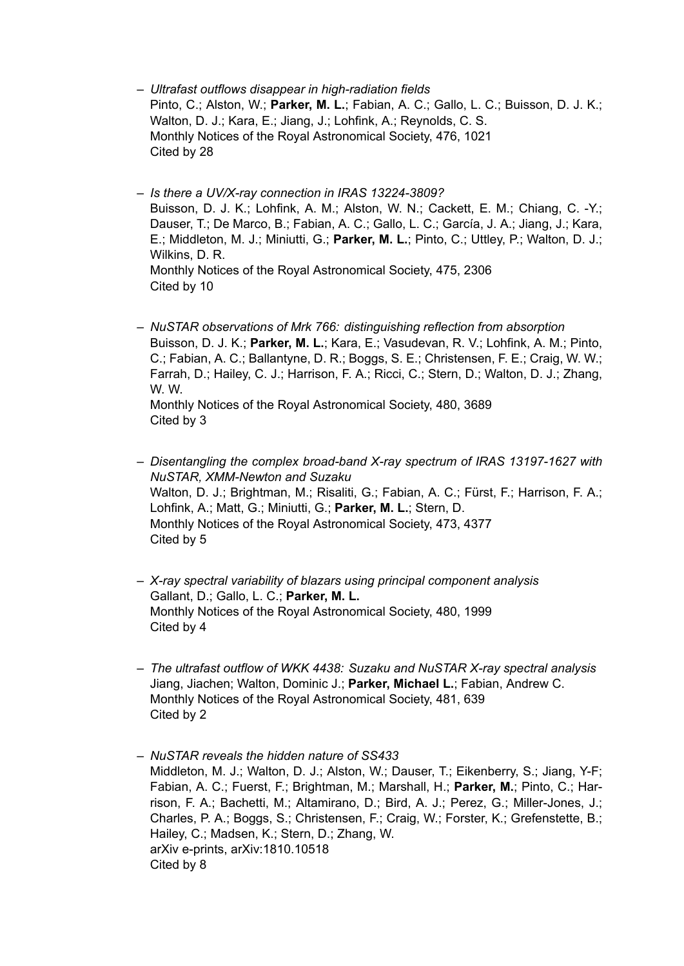- *Ultrafast outflows disappear in high-radiation fields* Pinto, C.; Alston, W.; **Parker, M. L.**; Fabian, A. C.; Gallo, L. C.; Buisson, D. J. K.; Walton, D. J.; Kara, E.; Jiang, J.; Lohfink, A.; Reynolds, C. S. Monthly Notices of the Royal Astronomical Society, 476, 1021 Cited by 28
- *Is there a UV/X-ray connection in IRAS 13224-3809?* Buisson, D. J. K.; Lohfink, A. M.; Alston, W. N.; Cackett, E. M.; Chiang, C. -Y.; Dauser, T.; De Marco, B.; Fabian, A. C.; Gallo, L. C.; García, J. A.; Jiang, J.; Kara, E.; Middleton, M. J.; Miniutti, G.; **Parker, M. L.**; Pinto, C.; Uttley, P.; Walton, D. J.; Wilkins, D. R. Monthly Notices of the Royal Astronomical Society, 475, 2306 Cited by 10
- *NuSTAR observations of Mrk 766: distinguishing reflection from absorption* Buisson, D. J. K.; **Parker, M. L.**; Kara, E.; Vasudevan, R. V.; Lohfink, A. M.; Pinto, C.; Fabian, A. C.; Ballantyne, D. R.; Boggs, S. E.; Christensen, F. E.; Craig, W. W.; Farrah, D.; Hailey, C. J.; Harrison, F. A.; Ricci, C.; Stern, D.; Walton, D. J.; Zhang, W. W. Monthly Notices of the Royal Astronomical Society, 480, 3689

```
Cited by 3
```
- *Disentangling the complex broad-band X-ray spectrum of IRAS 13197-1627 with NuSTAR, XMM-Newton and Suzaku* Walton, D. J.; Brightman, M.; Risaliti, G.; Fabian, A. C.; Fürst, F.; Harrison, F. A.; Lohfink, A.; Matt, G.; Miniutti, G.; **Parker, M. L.**; Stern, D. Monthly Notices of the Royal Astronomical Society, 473, 4377 Cited by 5
- *X-ray spectral variability of blazars using principal component analysis* Gallant, D.; Gallo, L. C.; **Parker, M. L.** Monthly Notices of the Royal Astronomical Society, 480, 1999 Cited by 4
- *The ultrafast outflow of WKK 4438: Suzaku and NuSTAR X-ray spectral analysis* Jiang, Jiachen; Walton, Dominic J.; **Parker, Michael L.**; Fabian, Andrew C. Monthly Notices of the Royal Astronomical Society, 481, 639 Cited by 2
- *NuSTAR reveals the hidden nature of SS433* Middleton, M. J.; Walton, D. J.; Alston, W.; Dauser, T.; Eikenberry, S.; Jiang, Y-F; Fabian, A. C.; Fuerst, F.; Brightman, M.; Marshall, H.; **Parker, M.**; Pinto, C.; Harrison, F. A.; Bachetti, M.; Altamirano, D.; Bird, A. J.; Perez, G.; Miller-Jones, J.; Charles, P. A.; Boggs, S.; Christensen, F.; Craig, W.; Forster, K.; Grefenstette, B.; Hailey, C.; Madsen, K.; Stern, D.; Zhang, W. arXiv e-prints, arXiv:1810.10518 Cited by 8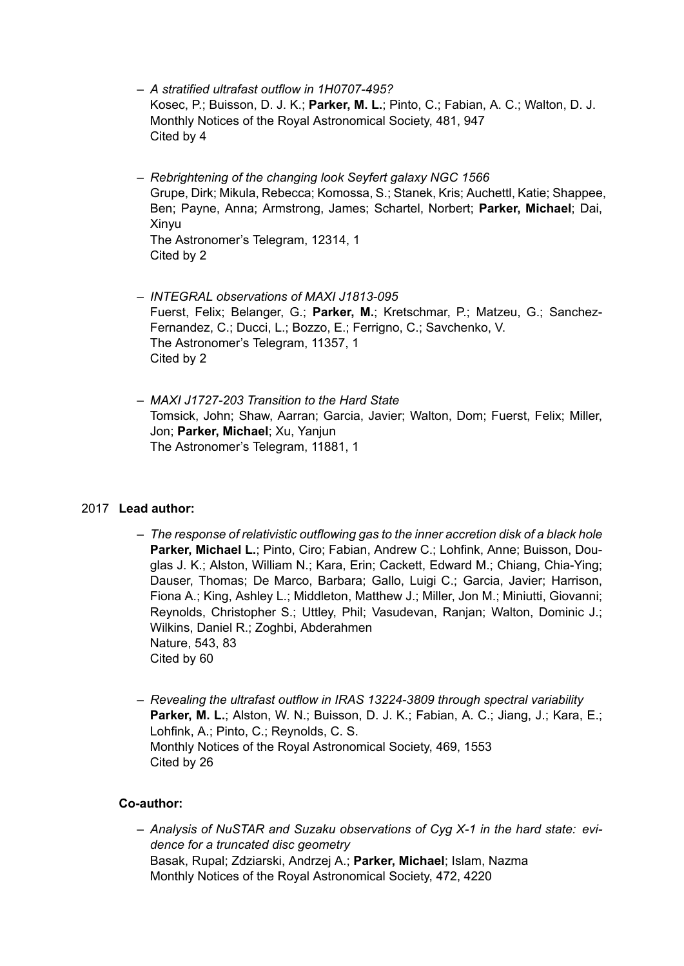- *A stratified ultrafast outflow in 1H0707-495?* Kosec, P.; Buisson, D. J. K.; **Parker, M. L.**; Pinto, C.; Fabian, A. C.; Walton, D. J. Monthly Notices of the Royal Astronomical Society, 481, 947 Cited by 4
- *Rebrightening of the changing look Seyfert galaxy NGC 1566* Grupe, Dirk; Mikula, Rebecca; Komossa, S.; Stanek, Kris; Auchettl, Katie; Shappee, Ben; Payne, Anna; Armstrong, James; Schartel, Norbert; **Parker, Michael**; Dai, Xinyu The Astronomer's Telegram, 12314, 1 Cited by 2
- *INTEGRAL observations of MAXI J1813-095* Fuerst, Felix; Belanger, G.; **Parker, M.**; Kretschmar, P.; Matzeu, G.; Sanchez-Fernandez, C.; Ducci, L.; Bozzo, E.; Ferrigno, C.; Savchenko, V. The Astronomer's Telegram, 11357, 1 Cited by 2
- *MAXI J1727-203 Transition to the Hard State* Tomsick, John; Shaw, Aarran; Garcia, Javier; Walton, Dom; Fuerst, Felix; Miller, Jon; **Parker, Michael**; Xu, Yanjun The Astronomer's Telegram, 11881, 1

## 2017 **Lead author:**

- *The response of relativistic outflowing gas to the inner accretion disk of a black hole* **Parker, Michael L.**; Pinto, Ciro; Fabian, Andrew C.; Lohfink, Anne; Buisson, Douglas J. K.; Alston, William N.; Kara, Erin; Cackett, Edward M.; Chiang, Chia-Ying; Dauser, Thomas; De Marco, Barbara; Gallo, Luigi C.; Garcia, Javier; Harrison, Fiona A.; King, Ashley L.; Middleton, Matthew J.; Miller, Jon M.; Miniutti, Giovanni; Reynolds, Christopher S.; Uttley, Phil; Vasudevan, Ranjan; Walton, Dominic J.; Wilkins, Daniel R.; Zoghbi, Abderahmen Nature, 543, 83 Cited by 60
- *Revealing the ultrafast outflow in IRAS 13224-3809 through spectral variability* Parker, M. L.; Alston, W. N.; Buisson, D. J. K.; Fabian, A. C.; Jiang, J.; Kara, E.; Lohfink, A.; Pinto, C.; Reynolds, C. S. Monthly Notices of the Royal Astronomical Society, 469, 1553 Cited by 26

# **Co-author:**

– *Analysis of NuSTAR and Suzaku observations of Cyg X-1 in the hard state: evidence for a truncated disc geometry* Basak, Rupal; Zdziarski, Andrzej A.; **Parker, Michael**; Islam, Nazma Monthly Notices of the Royal Astronomical Society, 472, 4220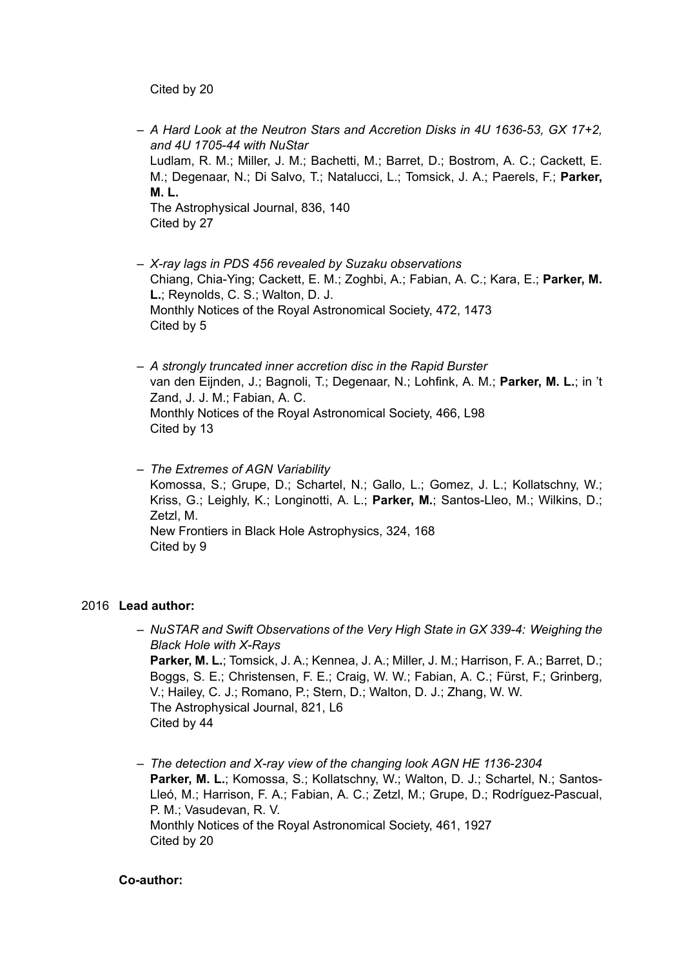Cited by 20

- *A Hard Look at the Neutron Stars and Accretion Disks in 4U 1636-53, GX 17+2, and 4U 1705-44 with NuStar* Ludlam, R. M.; Miller, J. M.; Bachetti, M.; Barret, D.; Bostrom, A. C.; Cackett, E. M.; Degenaar, N.; Di Salvo, T.; Natalucci, L.; Tomsick, J. A.; Paerels, F.; **Parker, M. L.** The Astrophysical Journal, 836, 140 Cited by 27
- *X-ray lags in PDS 456 revealed by Suzaku observations* Chiang, Chia-Ying; Cackett, E. M.; Zoghbi, A.; Fabian, A. C.; Kara, E.; **Parker, M. L.**; Reynolds, C. S.; Walton, D. J. Monthly Notices of the Royal Astronomical Society, 472, 1473 Cited by 5
- *A strongly truncated inner accretion disc in the Rapid Burster* van den Eijnden, J.; Bagnoli, T.; Degenaar, N.; Lohfink, A. M.; **Parker, M. L.**; in 't Zand, J. J. M.; Fabian, A. C. Monthly Notices of the Royal Astronomical Society, 466, L98 Cited by 13
- *The Extremes of AGN Variability* Komossa, S.; Grupe, D.; Schartel, N.; Gallo, L.; Gomez, J. L.; Kollatschny, W.; Kriss, G.; Leighly, K.; Longinotti, A. L.; **Parker, M.**; Santos-Lleo, M.; Wilkins, D.; Zetzl, M. New Frontiers in Black Hole Astrophysics, 324, 168 Cited by 9

## 2016 **Lead author:**

- *NuSTAR and Swift Observations of the Very High State in GX 339-4: Weighing the Black Hole with X-Rays* **Parker, M. L.**; Tomsick, J. A.; Kennea, J. A.; Miller, J. M.; Harrison, F. A.; Barret, D.; Boggs, S. E.; Christensen, F. E.; Craig, W. W.; Fabian, A. C.; Fürst, F.; Grinberg, V.; Hailey, C. J.; Romano, P.; Stern, D.; Walton, D. J.; Zhang, W. W. The Astrophysical Journal, 821, L6 Cited by 44
- *The detection and X-ray view of the changing look AGN HE 1136-2304* Parker, M. L.; Komossa, S.; Kollatschny, W.; Walton, D. J.; Schartel, N.; Santos-Lleó, M.; Harrison, F. A.; Fabian, A. C.; Zetzl, M.; Grupe, D.; Rodríguez-Pascual, P. M.; Vasudevan, R. V. Monthly Notices of the Royal Astronomical Society, 461, 1927 Cited by 20

#### **Co-author:**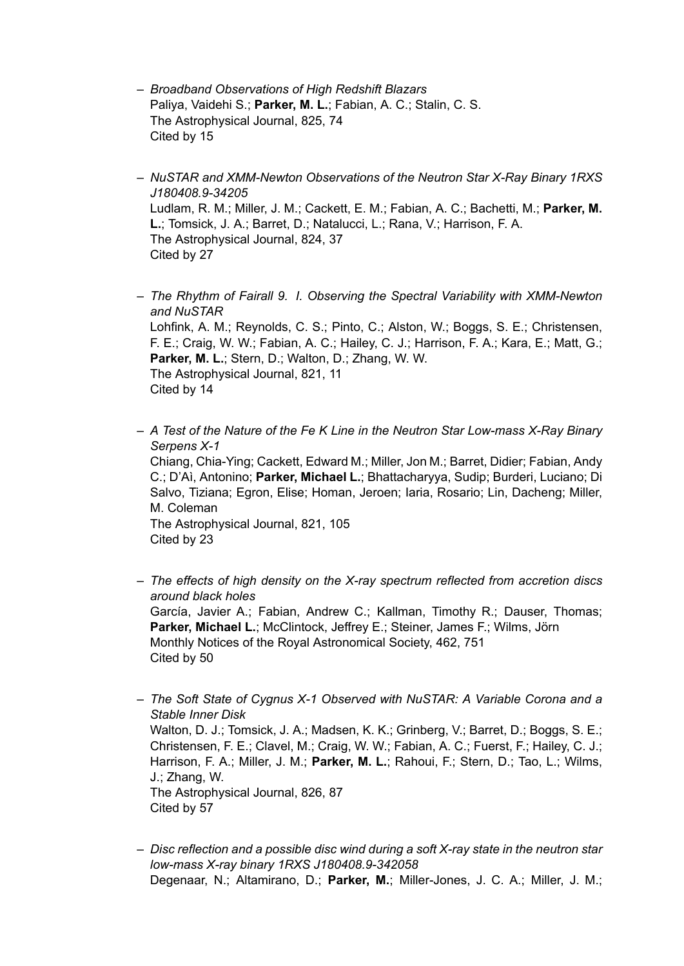- *Broadband Observations of High Redshift Blazars* Paliya, Vaidehi S.; **Parker, M. L.**; Fabian, A. C.; Stalin, C. S. The Astrophysical Journal, 825, 74 Cited by 15
- *NuSTAR and XMM-Newton Observations of the Neutron Star X-Ray Binary 1RXS J180408.9-34205* Ludlam, R. M.; Miller, J. M.; Cackett, E. M.; Fabian, A. C.; Bachetti, M.; **Parker, M. L.**; Tomsick, J. A.; Barret, D.; Natalucci, L.; Rana, V.; Harrison, F. A. The Astrophysical Journal, 824, 37 Cited by 27
- *The Rhythm of Fairall 9. I. Observing the Spectral Variability with XMM-Newton and NuSTAR* Lohfink, A. M.; Reynolds, C. S.; Pinto, C.; Alston, W.; Boggs, S. E.; Christensen, F. E.; Craig, W. W.; Fabian, A. C.; Hailey, C. J.; Harrison, F. A.; Kara, E.; Matt, G.; **Parker, M. L.**; Stern, D.; Walton, D.; Zhang, W. W. The Astrophysical Journal, 821, 11 Cited by 14
- *A Test of the Nature of the Fe K Line in the Neutron Star Low-mass X-Ray Binary Serpens X-1* Chiang, Chia-Ying; Cackett, Edward M.; Miller, Jon M.; Barret, Didier; Fabian, Andy C.; D'Aì, Antonino; **Parker, Michael L.**; Bhattacharyya, Sudip; Burderi, Luciano; Di Salvo, Tiziana; Egron, Elise; Homan, Jeroen; Iaria, Rosario; Lin, Dacheng; Miller, M. Coleman The Astrophysical Journal, 821, 105 Cited by 23
- *The effects of high density on the X-ray spectrum reflected from accretion discs around black holes* García, Javier A.; Fabian, Andrew C.; Kallman, Timothy R.; Dauser, Thomas; **Parker, Michael L.**; McClintock, Jeffrey E.; Steiner, James F.; Wilms, Jörn Monthly Notices of the Royal Astronomical Society, 462, 751 Cited by 50
- *The Soft State of Cygnus X-1 Observed with NuSTAR: A Variable Corona and a Stable Inner Disk* Walton, D. J.; Tomsick, J. A.; Madsen, K. K.; Grinberg, V.; Barret, D.; Boggs, S. E.; Christensen, F. E.; Clavel, M.; Craig, W. W.; Fabian, A. C.; Fuerst, F.; Hailey, C. J.; Harrison, F. A.; Miller, J. M.; **Parker, M. L.**; Rahoui, F.; Stern, D.; Tao, L.; Wilms, J.; Zhang, W. The Astrophysical Journal, 826, 87 Cited by 57
- *Disc reflection and a possible disc wind during a soft X-ray state in the neutron star low-mass X-ray binary 1RXS J180408.9-342058* Degenaar, N.; Altamirano, D.; **Parker, M.**; Miller-Jones, J. C. A.; Miller, J. M.;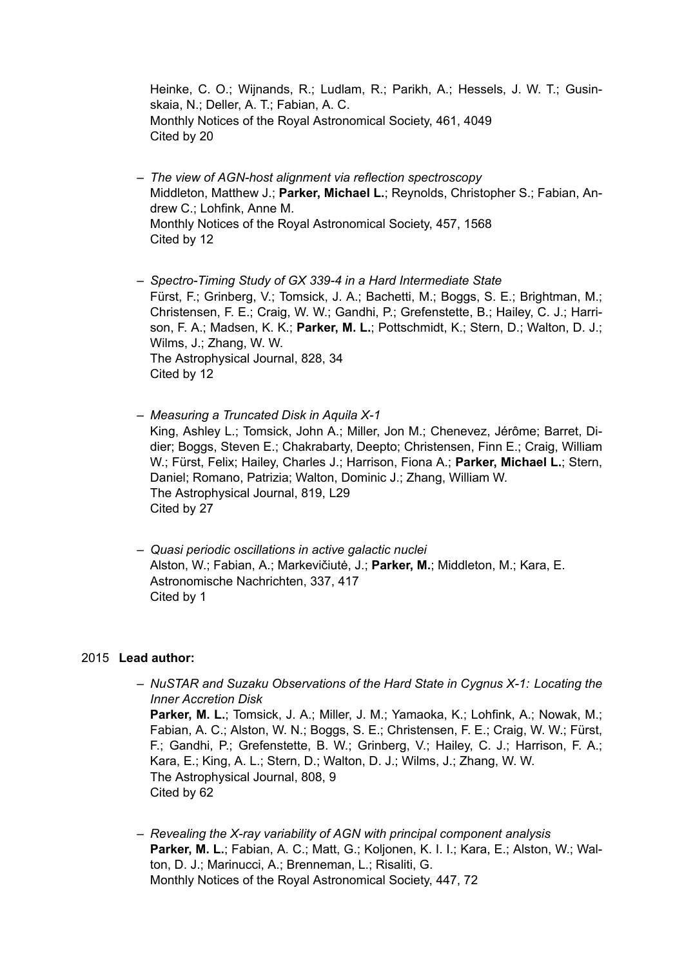Heinke, C. O.; Wijnands, R.; Ludlam, R.; Parikh, A.; Hessels, J. W. T.; Gusinskaia, N.; Deller, A. T.; Fabian, A. C. Monthly Notices of the Royal Astronomical Society, 461, 4049 Cited by 20

– *The view of AGN-host alignment via reflection spectroscopy* Middleton, Matthew J.; **Parker, Michael L.**; Reynolds, Christopher S.; Fabian, Andrew C.; Lohfink, Anne M. Monthly Notices of the Royal Astronomical Society, 457, 1568 Cited by 12

– *Spectro-Timing Study of GX 339-4 in a Hard Intermediate State* Fürst, F.; Grinberg, V.; Tomsick, J. A.; Bachetti, M.; Boggs, S. E.; Brightman, M.; Christensen, F. E.; Craig, W. W.; Gandhi, P.; Grefenstette, B.; Hailey, C. J.; Harrison, F. A.; Madsen, K. K.; **Parker, M. L.**; Pottschmidt, K.; Stern, D.; Walton, D. J.; Wilms, J.; Zhang, W. W. The Astrophysical Journal, 828, 34 Cited by 12

– *Measuring a Truncated Disk in Aquila X-1* King, Ashley L.; Tomsick, John A.; Miller, Jon M.; Chenevez, Jérôme; Barret, Didier; Boggs, Steven E.; Chakrabarty, Deepto; Christensen, Finn E.; Craig, William W.; Fürst, Felix; Hailey, Charles J.; Harrison, Fiona A.; **Parker, Michael L.**; Stern, Daniel; Romano, Patrizia; Walton, Dominic J.; Zhang, William W. The Astrophysical Journal, 819, L29 Cited by 27

– *Quasi periodic oscillations in active galactic nuclei* Alston, W.; Fabian, A.; Markevičiutė, J.; **Parker, M.**; Middleton, M.; Kara, E. Astronomische Nachrichten, 337, 417 Cited by 1

## 2015 **Lead author:**

– *NuSTAR and Suzaku Observations of the Hard State in Cygnus X-1: Locating the Inner Accretion Disk* Parker, M. L.; Tomsick, J. A.; Miller, J. M.; Yamaoka, K.; Lohfink, A.; Nowak, M.; Fabian, A. C.; Alston, W. N.; Boggs, S. E.; Christensen, F. E.; Craig, W. W.; Fürst, F.; Gandhi, P.; Grefenstette, B. W.; Grinberg, V.; Hailey, C. J.; Harrison, F. A.; Kara, E.; King, A. L.; Stern, D.; Walton, D. J.; Wilms, J.; Zhang, W. W. The Astrophysical Journal, 808, 9 Cited by 62

– *Revealing the X-ray variability of AGN with principal component analysis* **Parker, M. L.**; Fabian, A. C.; Matt, G.; Koljonen, K. I. I.; Kara, E.; Alston, W.; Walton, D. J.; Marinucci, A.; Brenneman, L.; Risaliti, G. Monthly Notices of the Royal Astronomical Society, 447, 72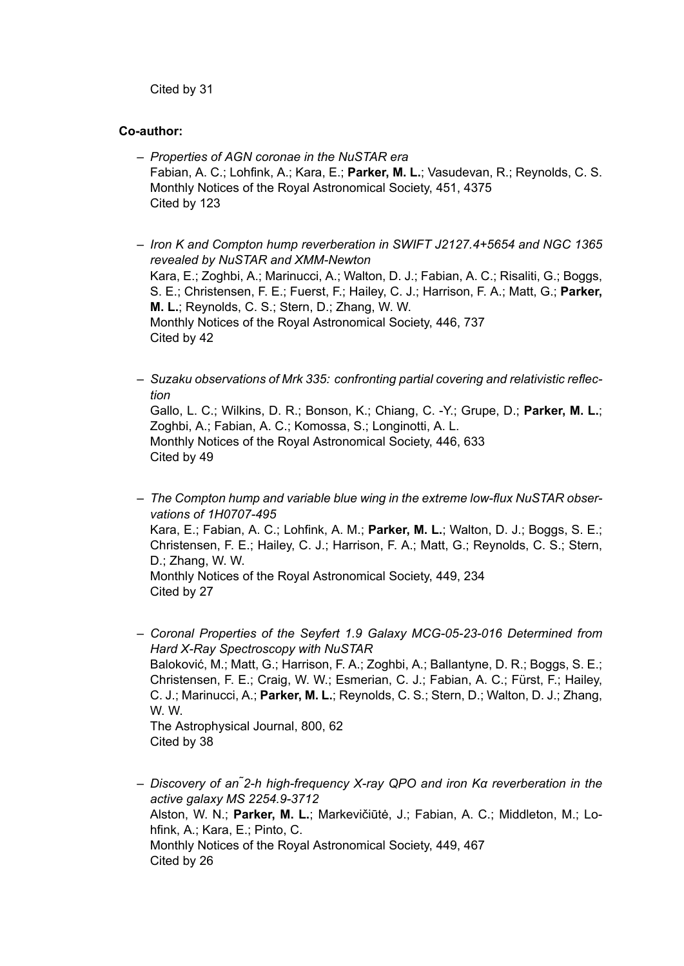Cited by 31

#### **Co-author:**

- *Properties of AGN coronae in the NuSTAR era* Fabian, A. C.; Lohfink, A.; Kara, E.; **Parker, M. L.**; Vasudevan, R.; Reynolds, C. S. Monthly Notices of the Royal Astronomical Society, 451, 4375 Cited by 123
- *Iron K and Compton hump reverberation in SWIFT J2127.4+5654 and NGC 1365 revealed by NuSTAR and XMM-Newton* Kara, E.; Zoghbi, A.; Marinucci, A.; Walton, D. J.; Fabian, A. C.; Risaliti, G.; Boggs, S. E.; Christensen, F. E.; Fuerst, F.; Hailey, C. J.; Harrison, F. A.; Matt, G.; **Parker, M. L.**; Reynolds, C. S.; Stern, D.; Zhang, W. W. Monthly Notices of the Royal Astronomical Society, 446, 737 Cited by 42
- *Suzaku observations of Mrk 335: confronting partial covering and relativistic reflection*

Gallo, L. C.; Wilkins, D. R.; Bonson, K.; Chiang, C. -Y.; Grupe, D.; **Parker, M. L.**; Zoghbi, A.; Fabian, A. C.; Komossa, S.; Longinotti, A. L. Monthly Notices of the Royal Astronomical Society, 446, 633 Cited by 49

– *The Compton hump and variable blue wing in the extreme low-flux NuSTAR observations of 1H0707-495* Kara, E.; Fabian, A. C.; Lohfink, A. M.; **Parker, M. L.**; Walton, D. J.; Boggs, S. E.; Christensen, F. E.; Hailey, C. J.; Harrison, F. A.; Matt, G.; Reynolds, C. S.; Stern, D.; Zhang, W. W. Monthly Notices of the Royal Astronomical Society, 449, 234 Cited by 27

– *Coronal Properties of the Seyfert 1.9 Galaxy MCG-05-23-016 Determined from Hard X-Ray Spectroscopy with NuSTAR* Baloković, M.; Matt, G.; Harrison, F. A.; Zoghbi, A.; Ballantyne, D. R.; Boggs, S. E.; Christensen, F. E.; Craig, W. W.; Esmerian, C. J.; Fabian, A. C.; Fürst, F.; Hailey, C. J.; Marinucci, A.; **Parker, M. L.**; Reynolds, C. S.; Stern, D.; Walton, D. J.; Zhang, W. W. The Astrophysical Journal, 800, 62 Cited by 38

– *Discovery of an ̃2-h high-frequency X-ray QPO and iron Kα reverberation in the active galaxy MS 2254.9-3712* Alston, W. N.; **Parker, M. L.**; Markevičiūtė, J.; Fabian, A. C.; Middleton, M.; Lohfink, A.; Kara, E.; Pinto, C. Monthly Notices of the Royal Astronomical Society, 449, 467 Cited by 26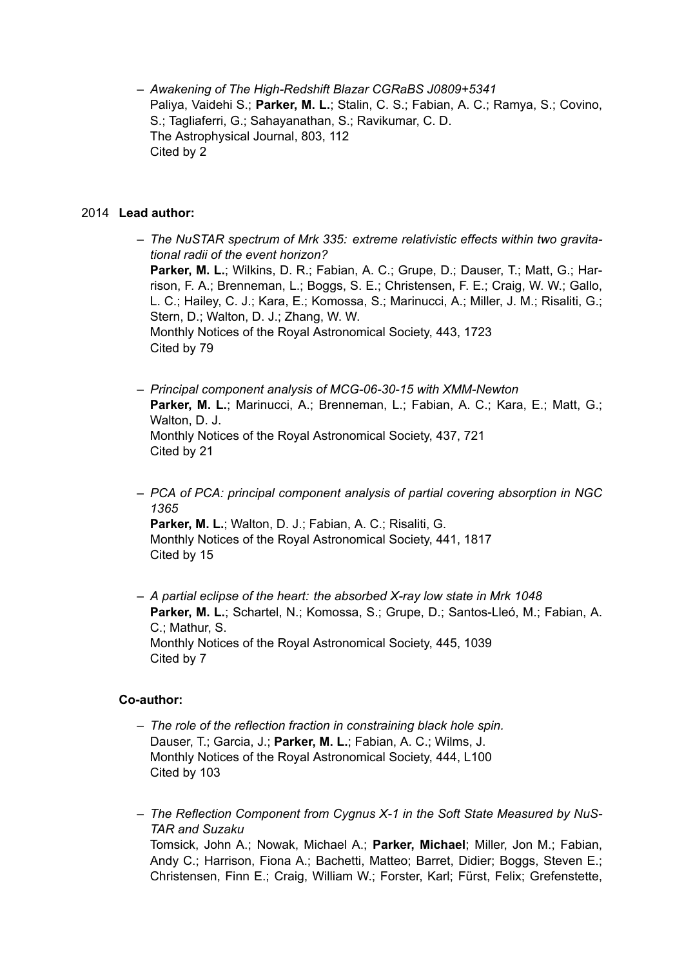– *Awakening of The High-Redshift Blazar CGRaBS J0809+5341* Paliya, Vaidehi S.; **Parker, M. L.**; Stalin, C. S.; Fabian, A. C.; Ramya, S.; Covino, S.; Tagliaferri, G.; Sahayanathan, S.; Ravikumar, C. D. The Astrophysical Journal, 803, 112 Cited by 2

#### 2014 **Lead author:**

- *The NuSTAR spectrum of Mrk 335: extreme relativistic effects within two gravitational radii of the event horizon?* **Parker, M. L.**; Wilkins, D. R.; Fabian, A. C.; Grupe, D.; Dauser, T.; Matt, G.; Harrison, F. A.; Brenneman, L.; Boggs, S. E.; Christensen, F. E.; Craig, W. W.; Gallo, L. C.; Hailey, C. J.; Kara, E.; Komossa, S.; Marinucci, A.; Miller, J. M.; Risaliti, G.; Stern, D.; Walton, D. J.; Zhang, W. W. Monthly Notices of the Royal Astronomical Society, 443, 1723 Cited by 79
- *Principal component analysis of MCG-06-30-15 with XMM-Newton* Parker, M. L.; Marinucci, A.; Brenneman, L.; Fabian, A. C.; Kara, E.; Matt, G.; Walton, D. J. Monthly Notices of the Royal Astronomical Society, 437, 721 Cited by 21
- *PCA of PCA: principal component analysis of partial covering absorption in NGC 1365* **Parker, M. L.**; Walton, D. J.; Fabian, A. C.; Risaliti, G.

Monthly Notices of the Royal Astronomical Society, 441, 1817 Cited by 15

– *A partial eclipse of the heart: the absorbed X-ray low state in Mrk 1048* **Parker, M. L.**; Schartel, N.; Komossa, S.; Grupe, D.; Santos-Lleó, M.; Fabian, A. C.; Mathur, S. Monthly Notices of the Royal Astronomical Society, 445, 1039 Cited by 7

## **Co-author:**

- *The role of the reflection fraction in constraining black hole spin.* Dauser, T.; Garcia, J.; **Parker, M. L.**; Fabian, A. C.; Wilms, J. Monthly Notices of the Royal Astronomical Society, 444, L100 Cited by 103
- *The Reflection Component from Cygnus X-1 in the Soft State Measured by NuS-TAR and Suzaku* Tomsick, John A.; Nowak, Michael A.; **Parker, Michael**; Miller, Jon M.; Fabian, Andy C.; Harrison, Fiona A.; Bachetti, Matteo; Barret, Didier; Boggs, Steven E.; Christensen, Finn E.; Craig, William W.; Forster, Karl; Fürst, Felix; Grefenstette,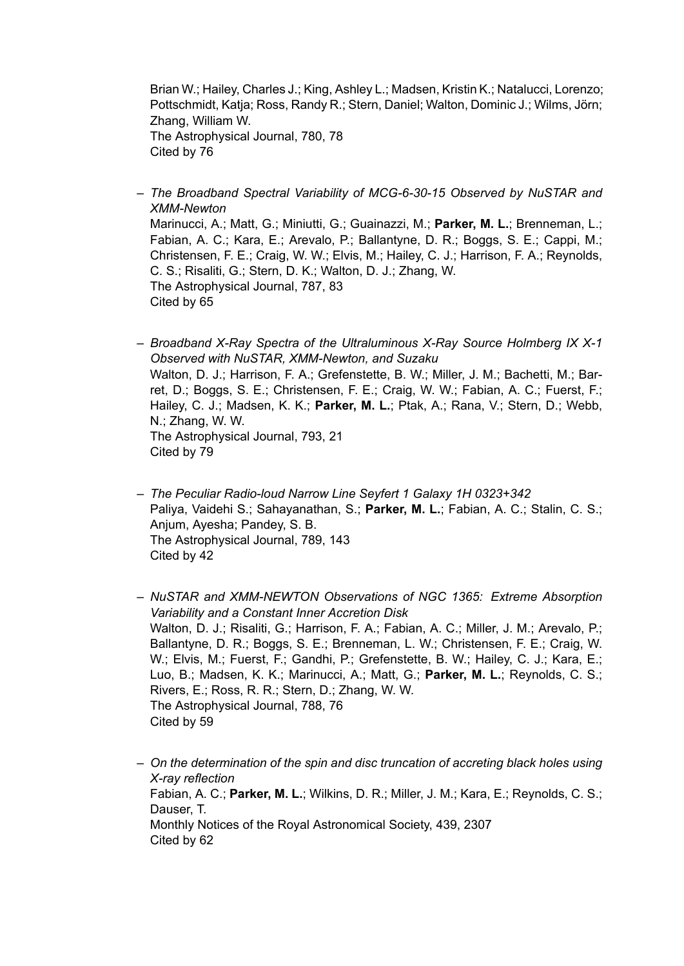Brian W.; Hailey, Charles J.; King, Ashley L.; Madsen, Kristin K.; Natalucci, Lorenzo; Pottschmidt, Katja; Ross, Randy R.; Stern, Daniel; Walton, Dominic J.; Wilms, Jörn; Zhang, William W. The Astrophysical Journal, 780, 78 Cited by 76

- *The Broadband Spectral Variability of MCG-6-30-15 Observed by NuSTAR and XMM-Newton* Marinucci, A.; Matt, G.; Miniutti, G.; Guainazzi, M.; **Parker, M. L.**; Brenneman, L.; Fabian, A. C.; Kara, E.; Arevalo, P.; Ballantyne, D. R.; Boggs, S. E.; Cappi, M.; Christensen, F. E.; Craig, W. W.; Elvis, M.; Hailey, C. J.; Harrison, F. A.; Reynolds, C. S.; Risaliti, G.; Stern, D. K.; Walton, D. J.; Zhang, W. The Astrophysical Journal, 787, 83 Cited by 65
- *Broadband X-Ray Spectra of the Ultraluminous X-Ray Source Holmberg IX X-1 Observed with NuSTAR, XMM-Newton, and Suzaku* Walton, D. J.; Harrison, F. A.; Grefenstette, B. W.; Miller, J. M.; Bachetti, M.; Barret, D.; Boggs, S. E.; Christensen, F. E.; Craig, W. W.; Fabian, A. C.; Fuerst, F.; Hailey, C. J.; Madsen, K. K.; **Parker, M. L.**; Ptak, A.; Rana, V.; Stern, D.; Webb, N.; Zhang, W. W. The Astrophysical Journal, 793, 21 Cited by 79
- *The Peculiar Radio-loud Narrow Line Seyfert 1 Galaxy 1H 0323+342* Paliya, Vaidehi S.; Sahayanathan, S.; **Parker, M. L.**; Fabian, A. C.; Stalin, C. S.; Anjum, Ayesha; Pandey, S. B. The Astrophysical Journal, 789, 143 Cited by 42
- *NuSTAR and XMM-NEWTON Observations of NGC 1365: Extreme Absorption Variability and a Constant Inner Accretion Disk* Walton, D. J.; Risaliti, G.; Harrison, F. A.; Fabian, A. C.; Miller, J. M.; Arevalo, P.; Ballantyne, D. R.; Boggs, S. E.; Brenneman, L. W.; Christensen, F. E.; Craig, W. W.; Elvis, M.; Fuerst, F.; Gandhi, P.; Grefenstette, B. W.; Hailey, C. J.; Kara, E.; Luo, B.; Madsen, K. K.; Marinucci, A.; Matt, G.; **Parker, M. L.**; Reynolds, C. S.; Rivers, E.; Ross, R. R.; Stern, D.; Zhang, W. W. The Astrophysical Journal, 788, 76 Cited by 59
- *On the determination of the spin and disc truncation of accreting black holes using X-ray reflection* Fabian, A. C.; **Parker, M. L.**; Wilkins, D. R.; Miller, J. M.; Kara, E.; Reynolds, C. S.; Dauser, T. Monthly Notices of the Royal Astronomical Society, 439, 2307 Cited by 62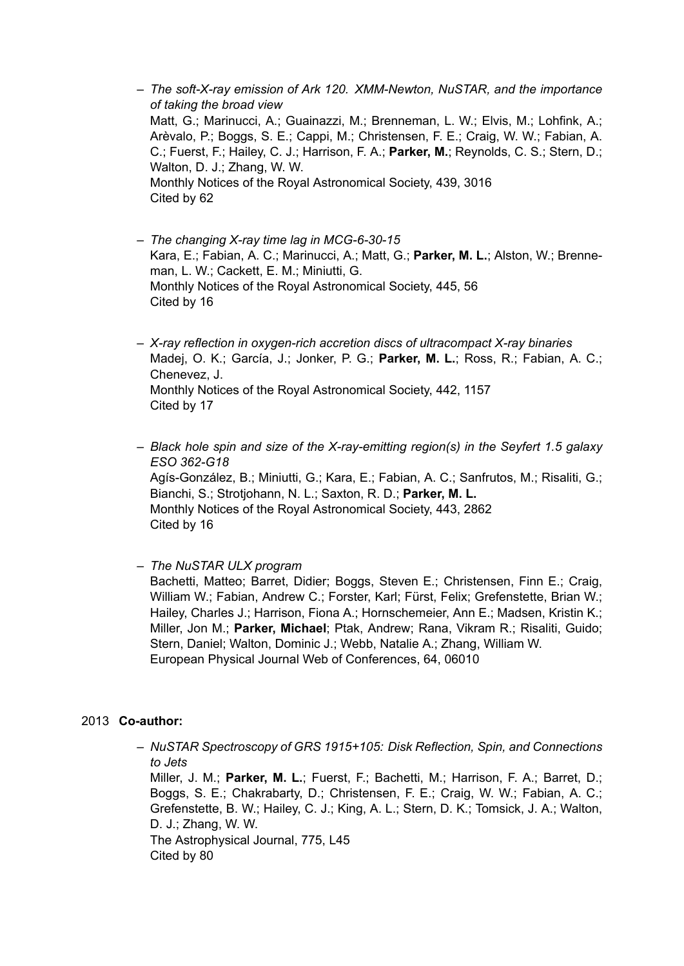- *The soft-X-ray emission of Ark 120. XMM-Newton, NuSTAR, and the importance of taking the broad view* Matt, G.; Marinucci, A.; Guainazzi, M.; Brenneman, L. W.; Elvis, M.; Lohfink, A.; Arèvalo, P.; Boggs, S. E.; Cappi, M.; Christensen, F. E.; Craig, W. W.; Fabian, A. C.; Fuerst, F.; Hailey, C. J.; Harrison, F. A.; **Parker, M.**; Reynolds, C. S.; Stern, D.; Walton, D. J.; Zhang, W. W. Monthly Notices of the Royal Astronomical Society, 439, 3016 Cited by 62
- *The changing X-ray time lag in MCG-6-30-15* Kara, E.; Fabian, A. C.; Marinucci, A.; Matt, G.; **Parker, M. L.**; Alston, W.; Brenneman, L. W.; Cackett, E. M.; Miniutti, G. Monthly Notices of the Royal Astronomical Society, 445, 56 Cited by 16
- *X-ray reflection in oxygen-rich accretion discs of ultracompact X-ray binaries* Madej, O. K.; García, J.; Jonker, P. G.; **Parker, M. L.**; Ross, R.; Fabian, A. C.; Chenevez, J. Monthly Notices of the Royal Astronomical Society, 442, 1157 Cited by 17
- *Black hole spin and size of the X-ray-emitting region(s) in the Seyfert 1.5 galaxy ESO 362-G18* Agís-González, B.; Miniutti, G.; Kara, E.; Fabian, A. C.; Sanfrutos, M.; Risaliti, G.; Bianchi, S.; Strotjohann, N. L.; Saxton, R. D.; **Parker, M. L.** Monthly Notices of the Royal Astronomical Society, 443, 2862 Cited by 16
- *The NuSTAR ULX program*

Bachetti, Matteo; Barret, Didier; Boggs, Steven E.; Christensen, Finn E.; Craig, William W.; Fabian, Andrew C.; Forster, Karl; Fürst, Felix; Grefenstette, Brian W.; Hailey, Charles J.; Harrison, Fiona A.; Hornschemeier, Ann E.; Madsen, Kristin K.; Miller, Jon M.; **Parker, Michael**; Ptak, Andrew; Rana, Vikram R.; Risaliti, Guido; Stern, Daniel; Walton, Dominic J.; Webb, Natalie A.; Zhang, William W. European Physical Journal Web of Conferences, 64, 06010

## 2013 **Co-author:**

– *NuSTAR Spectroscopy of GRS 1915+105: Disk Reflection, Spin, and Connections to Jets*

Miller, J. M.; **Parker, M. L.**; Fuerst, F.; Bachetti, M.; Harrison, F. A.; Barret, D.; Boggs, S. E.; Chakrabarty, D.; Christensen, F. E.; Craig, W. W.; Fabian, A. C.; Grefenstette, B. W.; Hailey, C. J.; King, A. L.; Stern, D. K.; Tomsick, J. A.; Walton, D. J.; Zhang, W. W.

The Astrophysical Journal, 775, L45 Cited by 80